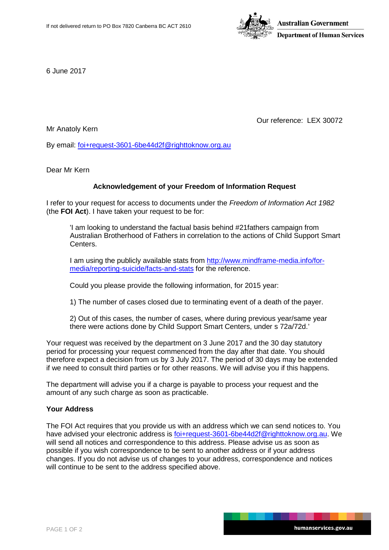

6 June 2017

Our reference: LEX 30072

Mr Anatoly Kern

By email: [foi+request-3601-6be44d2f@righttoknow.org.au](mailto:xxxxxxxxxxxxxxxxxxxxxxxxx@xxxxxxxxxxx.xxx.xx)

Dear Mr Kern

# **Acknowledgement of your Freedom of Information Request**

I refer to your request for access to documents under the *Freedom of Information Act 1982*  (the **FOI Act**). I have taken your request to be for:

'I am looking to understand the factual basis behind #21fathers campaign from Australian Brotherhood of Fathers in correlation to the actions of Child Support Smart Centers.

I am using the publicly available stats from [http://www.mindframe-media.info/for](http://www.mindframe-media.info/for-media/reporting-suicide/facts-and-stats)[media/reporting-suicide/facts-and-stats](http://www.mindframe-media.info/for-media/reporting-suicide/facts-and-stats) for the reference.

Could you please provide the following information, for 2015 year:

1) The number of cases closed due to terminating event of a death of the payer.

2) Out of this cases, the number of cases, where during previous year/same year there were actions done by Child Support Smart Centers, under s 72a/72d.'

Your request was received by the department on 3 June 2017 and the 30 day statutory period for processing your request commenced from the day after that date. You should therefore expect a decision from us by 3 July 2017. The period of 30 days may be extended if we need to consult third parties or for other reasons. We will advise you if this happens.

The department will advise you if a charge is payable to process your request and the amount of any such charge as soon as practicable.

# **Your Address**

The FOI Act requires that you provide us with an address which we can send notices to. You have advised your electronic address is [foi+request-3601-6be44d2f@righttoknow.org.au.](mailto:xxxxxxxxxxxxxxxxxxxxxxxxx@xxxxxxxxxxx.xxx.xx) We will send all notices and correspondence to this address. Please advise us as soon as possible if you wish correspondence to be sent to another address or if your address changes. If you do not advise us of changes to your address, correspondence and notices will continue to be sent to the address specified above.